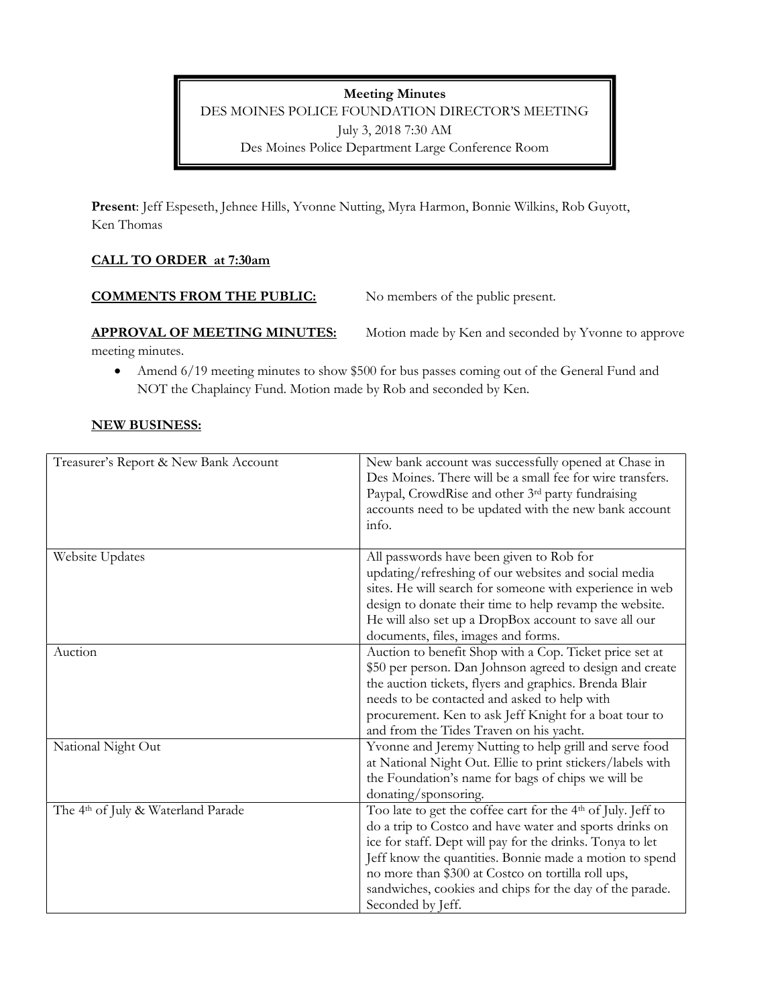Meeting Minutes DES MOINES POLICE FOUNDATION DIRECTOR'S MEETING July 3, 2018 7:30 AM Des Moines Police Department Large Conference Room

Present: Jeff Espeseth, Jehnee Hills, Yvonne Nutting, Myra Harmon, Bonnie Wilkins, Rob Guyott, Ken Thomas

## CALL TO ORDER at 7:30am

| <b>COMMENTS FROM THE PUBLIC:</b>    | No members of the public present.                    |
|-------------------------------------|------------------------------------------------------|
| <b>APPROVAL OF MEETING MINUTES:</b> | Motion made by Ken and seconded by Yvonne to approve |

meeting minutes.

• Amend 6/19 meeting minutes to show \$500 for bus passes coming out of the General Fund and NOT the Chaplaincy Fund. Motion made by Rob and seconded by Ken.

### NEW BUSINESS:

| Treasurer's Report & New Bank Account          | New bank account was successfully opened at Chase in                     |
|------------------------------------------------|--------------------------------------------------------------------------|
|                                                | Des Moines. There will be a small fee for wire transfers.                |
|                                                | Paypal, CrowdRise and other 3rd party fundraising                        |
|                                                | accounts need to be updated with the new bank account                    |
|                                                | info.                                                                    |
|                                                |                                                                          |
| Website Updates                                | All passwords have been given to Rob for                                 |
|                                                | updating/refreshing of our websites and social media                     |
|                                                | sites. He will search for someone with experience in web                 |
|                                                | design to donate their time to help revamp the website.                  |
|                                                | He will also set up a DropBox account to save all our                    |
|                                                | documents, files, images and forms.                                      |
| Auction                                        | Auction to benefit Shop with a Cop. Ticket price set at                  |
|                                                | \$50 per person. Dan Johnson agreed to design and create                 |
|                                                | the auction tickets, flyers and graphics. Brenda Blair                   |
|                                                | needs to be contacted and asked to help with                             |
|                                                | procurement. Ken to ask Jeff Knight for a boat tour to                   |
|                                                | and from the Tides Traven on his yacht.                                  |
| National Night Out                             | Yvonne and Jeremy Nutting to help grill and serve food                   |
|                                                | at National Night Out. Ellie to print stickers/labels with               |
|                                                | the Foundation's name for bags of chips we will be                       |
|                                                | donating/sponsoring.                                                     |
| The 4 <sup>th</sup> of July & Waterland Parade | Too late to get the coffee cart for the 4 <sup>th</sup> of July. Jeff to |
|                                                | do a trip to Costco and have water and sports drinks on                  |
|                                                | ice for staff. Dept will pay for the drinks. Tonya to let                |
|                                                | Jeff know the quantities. Bonnie made a motion to spend                  |
|                                                | no more than \$300 at Costco on tortilla roll ups,                       |
|                                                | sandwiches, cookies and chips for the day of the parade.                 |
|                                                | Seconded by Jeff.                                                        |